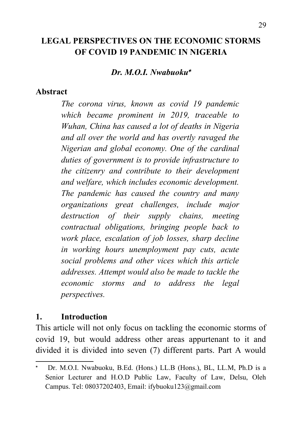## **LEGAL PERSPECTIVES ON THE ECONOMIC STORMS OF COVID 19 PANDEMIC IN NIGERIA**

#### *Dr. M.O.I. Nwabuoku*

#### **Abstract**

*The corona virus, known as covid 19 pandemic which became prominent in 2019, traceable to Wuhan, China has caused a lot of deaths in Nigeria and all over the world and has overtly ravaged the Nigerian and global economy. One of the cardinal duties of government is to provide infrastructure to the citizenry and contribute to their development and welfare, which includes economic development. The pandemic has caused the country and many organizations great challenges, include major destruction of their supply chains, meeting contractual obligations, bringing people back to work place, escalation of job losses, sharp decline in working hours unemployment pay cuts, acute social problems and other vices which this article addresses. Attempt would also be made to tackle the economic storms and to address the legal perspectives.*

#### **1. Introduction**

This article will not only focus on tackling the economic storms of covid 19, but would address other areas appurtenant to it and divided it is divided into seven (7) different parts. Part A would

<span id="page-0-0"></span>Dr. M.O.I. Nwabuoku, B.Ed. (Hons.) LL.B (Hons.), BL, LL.M, Ph.D is a Senior Lecturer and H.O.D Public Law, Faculty of Law, Delsu, Oleh Campus. Tel: 08037202403, Email: ifybuoku123@gmail.com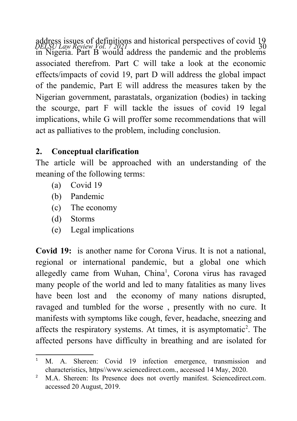address issues of definitions and historical perspectives of covid 19<br>*DELSU Law Review Yol.* 7 2021 in Nigeria. Part B would address the pandemic and the problems associated therefrom. Part C will take a look at the economic effects/impacts of covid 19, part D will address the global impact of the pandemic, Part E will address the measures taken by the Nigerian government, parastatals, organization (bodies) in tacking the scourge, part F will tackle the issues of covid 19 legal implications, while G will proffer some recommendations that will act as palliatives to the problem, including conclusion.

## **2. Conceptual clarification**

The article will be approached with an understanding of the meaning of the following terms:

- (a) Covid 19
- (b) Pandemic
- (c) The economy
- (d) Storms
- (e) Legal implications

**Covid 19:** is another name for Corona Virus. It is not a national, regional or international pandemic, but a global one which allegedly came from Wuhan, China<sup>[1](#page-1-0)</sup>, Corona virus has ravaged many people of the world and led to many fatalities as many lives have been lost and the economy of many nations disrupted, ravaged and tumbled for the worse , presently with no cure. It manifests with symptoms like cough, fever, headache, sneezing and affects the respiratory systems. At times, it is asymptomatic<sup>[2](#page-1-1)</sup>. The affected persons have difficulty in breathing and are isolated for

<span id="page-1-0"></span><sup>&</sup>lt;sup>1</sup> M. A. Shereen: Covid 19 infection emergence, transmission and characteristics, https//www.sciencedirect.com., accessed 14 May, 2020.

<span id="page-1-1"></span><sup>&</sup>lt;sup>2</sup> M.A. Shereen: Its Presence does not overtly manifest. Sciencedirect.com. accessed 20 August, 2019.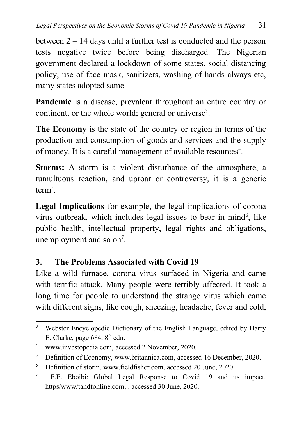between 2 – 14 days until a further test is conducted and the person tests negative twice before being discharged. The Nigerian government declared a lockdown of some states, social distancing policy, use of face mask, sanitizers, washing of hands always etc, many states adopted same.

**Pandemic** is a disease, prevalent throughout an entire country or continent, or the whole world; general or universe<sup>[3](#page-2-0)</sup>.

**The Economy** is the state of the country or region in terms of the production and consumption of goods and services and the supply of money. It is a careful management of available resources<sup>[4](#page-2-1)</sup>.

**Storms:** A storm is a violent disturbance of the atmosphere, a tumultuous reaction, and uproar or controversy, it is a generic  $term<sup>5</sup>$  $term<sup>5</sup>$  $term<sup>5</sup>$ .

**Legal Implications** for example, the legal implications of corona virus outbreak, which includes legal issues to bear in mind<sup>[6](#page-2-3)</sup>, like public health, intellectual property, legal rights and obligations, unemployment and so  $\text{on}^7$  $\text{on}^7$ .

### **3. The Problems Associated with Covid 19**

Like a wild furnace, corona virus surfaced in Nigeria and came with terrific attack. Many people were terribly affected. It took a long time for people to understand the strange virus which came with different signs, like cough, sneezing, headache, fever and cold,

<span id="page-2-0"></span><sup>&</sup>lt;sup>3</sup> Webster Encyclopedic Dictionary of the English Language, edited by Harry E. Clarke, page  $684$ ,  $8<sup>th</sup>$  edn.

<span id="page-2-1"></span><sup>4</sup> www.investopedia.com, accessed 2 November, 2020.

<span id="page-2-2"></span><sup>&</sup>lt;sup>5</sup> Definition of Economy, www.britannica.com, accessed 16 December, 2020.

<span id="page-2-3"></span><sup>6</sup> Definition of storm, www.fieldfisher.com, accessed 20 June, 2020.

<span id="page-2-4"></span><sup>7</sup> F.E. Eboibi: Global Legal Response to Covid 19 and its impact. https/www/tandfonline.com, . accessed 30 June, 2020.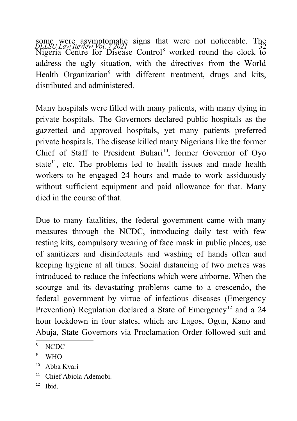some were asymptomatic signs that were not noticeable. The<br>*QELSU Law Review Vol. 7* 2021 Nigeria Centre for Disease Control<sup>[8](#page-3-0)</sup> worked round the clock to address the ugly situation, with the directives from the World Health Organization<sup>[9](#page-3-1)</sup> with different treatment, drugs and kits, distributed and administered.

Many hospitals were filled with many patients, with many dying in private hospitals. The Governors declared public hospitals as the gazzetted and approved hospitals, yet many patients preferred private hospitals. The disease killed many Nigerians like the former Chief of Staff to President Buhari<sup>[10](#page-3-2)</sup>, former Governor of Oyo state<sup>[11](#page-3-3)</sup>, etc. The problems led to health issues and made health workers to be engaged 24 hours and made to work assiduously without sufficient equipment and paid allowance for that. Many died in the course of that.

Due to many fatalities, the federal government came with many measures through the NCDC, introducing daily test with few testing kits, compulsory wearing of face mask in public places, use of sanitizers and disinfectants and washing of hands often and keeping hygiene at all times. Social distancing of two metres was introduced to reduce the infections which were airborne. When the scourge and its devastating problems came to a crescendo, the federal government by virtue of infectious diseases (Emergency Prevention) Regulation declared a State of Emergency<sup>[12](#page-3-4)</sup> and a 24 hour lockdown in four states, which are Lagos, Ogun, Kano and Abuja, State Governors via Proclamation Order followed suit and

- <span id="page-3-3"></span><sup>11</sup> Chief Abiola Ademobi.
- <span id="page-3-4"></span> $12$  Ibid.

<span id="page-3-0"></span><sup>8</sup> NCDC

<span id="page-3-1"></span><sup>9</sup> WHO

<span id="page-3-2"></span><sup>&</sup>lt;sup>10</sup> Abba Kyari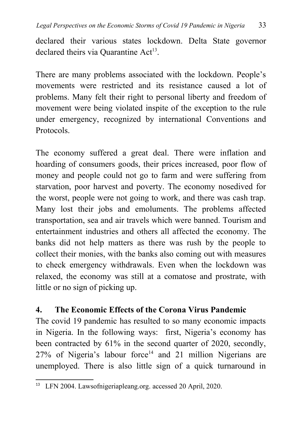declared their various states lockdown. Delta State governor declared theirs via Quarantine Act<sup>[13](#page-4-0)</sup>.

There are many problems associated with the lockdown. People's movements were restricted and its resistance caused a lot of problems. Many felt their right to personal liberty and freedom of movement were being violated inspite of the exception to the rule under emergency, recognized by international Conventions and Protocols.

The economy suffered a great deal. There were inflation and hoarding of consumers goods, their prices increased, poor flow of money and people could not go to farm and were suffering from starvation, poor harvest and poverty. The economy nosedived for the worst, people were not going to work, and there was cash trap. Many lost their jobs and emoluments. The problems affected transportation, sea and air travels which were banned. Tourism and entertainment industries and others all affected the economy. The banks did not help matters as there was rush by the people to collect their monies, with the banks also coming out with measures to check emergency withdrawals. Even when the lockdown was relaxed, the economy was still at a comatose and prostrate, with little or no sign of picking up.

### **4. The Economic Effects of the Corona Virus Pandemic**

The covid 19 pandemic has resulted to so many economic impacts in Nigeria. In the following ways: first, Nigeria's economy has been contracted by 61% in the second quarter of 2020, secondly,  $27\%$  of Nigeria's labour force<sup>14</sup> and 21 million Nigerians are unemployed. There is also little sign of a quick turnaround in

<span id="page-4-0"></span><sup>13</sup> LFN 2004. Lawsofnigeriapleang.org. accessed 20 April, 2020.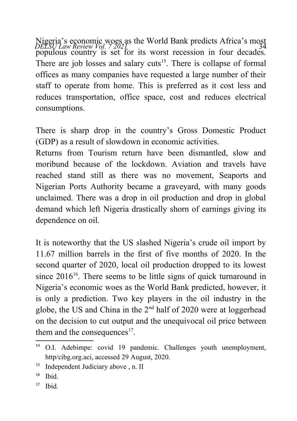Nigeria's economic woes as the World Bank predicts Africa's most<br>*DELSU Law Review Vol. 7 2021* populous country is set for its worst recession in four decades. There are job losses and salary cuts<sup>[15](#page-5-0)</sup>. There is collapse of formal offices as many companies have requested a large number of their staff to operate from home. This is preferred as it cost less and reduces transportation, office space, cost and reduces electrical consumptions.

There is sharp drop in the country's Gross Domestic Product (GDP) as a result of slowdown in economic activities.

Returns from Tourism return have been dismantled, slow and moribund because of the lockdown. Aviation and travels have reached stand still as there was no movement, Seaports and Nigerian Ports Authority became a graveyard, with many goods unclaimed. There was a drop in oil production and drop in global demand which left Nigeria drastically shorn of earnings giving its dependence on oil.

It is noteworthy that the US slashed Nigeria's crude oil import by 11.67 million barrels in the first of five months of 2020. In the second quarter of 2020, local oil production dropped to its lowest since  $2016^{16}$  $2016^{16}$  $2016^{16}$ . There seems to be little signs of quick turnaround in Nigeria's economic woes as the World Bank predicted, however, it is only a prediction. Two key players in the oil industry in the globe, the US and China in the  $2<sup>nd</sup>$  half of 2020 were at loggerhead on the decision to cut output and the unequivocal oil price between them and the consequences $17$ .

<sup>&</sup>lt;sup>14</sup> O.I. Adebimpe: covid 19 pandemic. Challenges youth unemployment, http/cibg.org.aci, accessed 29 August, 2020.

<span id="page-5-0"></span><sup>&</sup>lt;sup>15</sup> Independent Judiciary above , n. II

<span id="page-5-1"></span> $16$  Ibid.

<span id="page-5-2"></span> $17$  Ibid.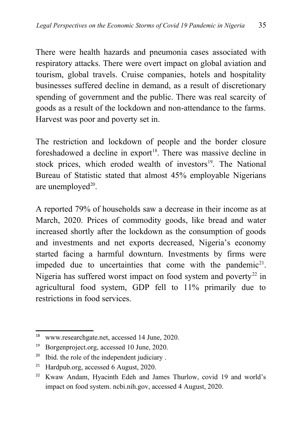There were health hazards and pneumonia cases associated with respiratory attacks. There were overt impact on global aviation and tourism, global travels. Cruise companies, hotels and hospitality businesses suffered decline in demand, as a result of discretionary spending of government and the public. There was real scarcity of goods as a result of the lockdown and non-attendance to the farms. Harvest was poor and poverty set in.

The restriction and lockdown of people and the border closure foreshadowed a decline in export<sup>[18](#page-6-0)</sup>. There was massive decline in stock prices, which eroded wealth of investors $19$ . The National Bureau of Statistic stated that almost 45% employable Nigerians are unemployed $20$ .

A reported 79% of households saw a decrease in their income as at March, 2020. Prices of commodity goods, like bread and water increased shortly after the lockdown as the consumption of goods and investments and net exports decreased, Nigeria's economy started facing a harmful downturn. Investments by firms were impeded due to uncertainties that come with the pandemic<sup>[21](#page-6-3)</sup>. Nigeria has suffered worst impact on food system and poverty<sup>[22](#page-6-4)</sup> in agricultural food system, GDP fell to 11% primarily due to restrictions in food services.

<span id="page-6-0"></span><sup>18</sup> www.researchgate.net, accessed 14 June, 2020.

<span id="page-6-1"></span><sup>19</sup> Borgenproject.org, accessed 10 June, 2020.

<span id="page-6-2"></span><sup>&</sup>lt;sup>20</sup> Ibid. the role of the independent judiciary.

<span id="page-6-3"></span><sup>21</sup> Hardpub.org, accessed 6 August, 2020.

<span id="page-6-4"></span><sup>&</sup>lt;sup>22</sup> Kwaw Andam, Hyacinth Edeh and James Thurlow, covid 19 and world's impact on food system. ncbi.nih.gov, accessed 4 August, 2020.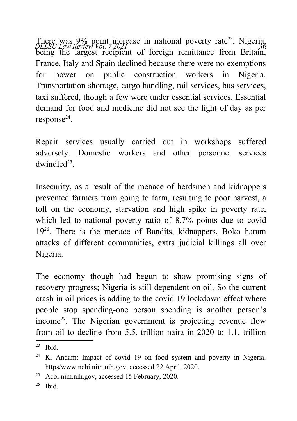There was 9% point increase in national poverty rate<sup>[23](#page-7-0)</sup>, Nigeria, *DELSU Law Review Vol.* 7 2021 being the largest recipient of foreign remittance from Britain, France, Italy and Spain declined because there were no exemptions for power on public construction workers in Nigeria. Transportation shortage, cargo handling, rail services, bus services, taxi suffered, though a few were under essential services. Essential demand for food and medicine did not see the light of day as per response<sup>[24](#page-7-1)</sup>.

Repair services usually carried out in workshops suffered adversely. Domestic workers and other personnel services  $d$ windle $d^{25}$  $d^{25}$  $d^{25}$ .

Insecurity, as a result of the menace of herdsmen and kidnappers prevented farmers from going to farm, resulting to poor harvest, a toll on the economy, starvation and high spike in poverty rate, which led to national poverty ratio of 8.7% points due to covid 19[26](#page-7-3). There is the menace of Bandits, kidnappers, Boko haram attacks of different communities, extra judicial killings all over Nigeria.

The economy though had begun to show promising signs of recovery progress; Nigeria is still dependent on oil. So the current crash in oil prices is adding to the covid 19 lockdown effect where people stop spending-one person spending is another person's income<sup>27</sup>. The Nigerian government is projecting revenue flow from oil to decline from  $5.5$ , trillion naira in 2020 to  $1.1$  trillion

<span id="page-7-3"></span> $26$  Ibid.

<span id="page-7-0"></span> $23$  Ibid.

<span id="page-7-1"></span><sup>&</sup>lt;sup>24</sup> K. Andam: Impact of covid 19 on food system and poverty in Nigeria. https/www.ncbi.nim.nih.gov, accessed 22 April, 2020.

<span id="page-7-2"></span><sup>25</sup> Acbi.nim.nih.gov, accessed 15 February, 2020.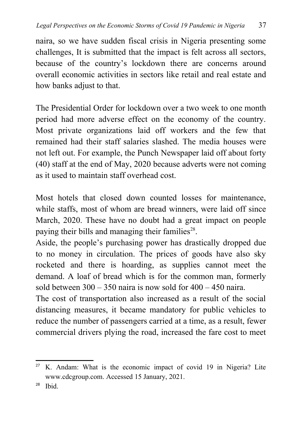naira, so we have sudden fiscal crisis in Nigeria presenting some challenges, It is submitted that the impact is felt across all sectors, because of the country's lockdown there are concerns around overall economic activities in sectors like retail and real estate and how banks adjust to that.

The Presidential Order for lockdown over a two week to one month period had more adverse effect on the economy of the country. Most private organizations laid off workers and the few that remained had their staff salaries slashed. The media houses were not left out. For example, the Punch Newspaper laid off about forty (40) staff at the end of May, 2020 because adverts were not coming as it used to maintain staff overhead cost.

Most hotels that closed down counted losses for maintenance, while staffs, most of whom are bread winners, were laid off since March, 2020. These have no doubt had a great impact on people paying their bills and managing their families<sup>[28](#page-8-0)</sup>.

Aside, the people's purchasing power has drastically dropped due to no money in circulation. The prices of goods have also sky rocketed and there is hoarding, as supplies cannot meet the demand. A loaf of bread which is for the common man, formerly sold between  $300 - 350$  naira is now sold for  $400 - 450$  naira.

The cost of transportation also increased as a result of the social distancing measures, it became mandatory for public vehicles to reduce the number of passengers carried at a time, as a result, fewer commercial drivers plying the road, increased the fare cost to meet

 $27$  K. Andam: What is the economic impact of covid 19 in Nigeria? Lite www.cdcgroup.com. Accessed 15 January, 2021.

<span id="page-8-0"></span> $28$  Ibid.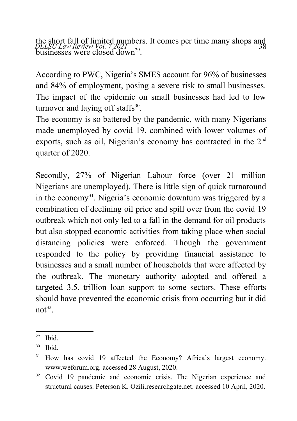the short fall of limited numbers. It comes per time many shops and<br>*DELSU Law Review Vol.* 7,2021 <sub>29</sub> businesses were closed  $d$ own<sup>[29](#page-9-0)</sup>.

According to PWC, Nigeria's SMES account for 96% of businesses and 84% of employment, posing a severe risk to small businesses. The impact of the epidemic on small businesses had led to low turnover and laying off staffs $30$ .

The economy is so battered by the pandemic, with many Nigerians made unemployed by covid 19, combined with lower volumes of exports, such as oil, Nigerian's economy has contracted in the 2<sup>nd</sup> quarter of 2020.

Secondly, 27% of Nigerian Labour force (over 21 million Nigerians are unemployed). There is little sign of quick turnaround in the economy<sup>[31](#page-9-2)</sup>. Nigeria's economic downturn was triggered by a combination of declining oil price and spill over from the covid 19 outbreak which not only led to a fall in the demand for oil products but also stopped economic activities from taking place when social distancing policies were enforced. Though the government responded to the policy by providing financial assistance to businesses and a small number of households that were affected by the outbreak. The monetary authority adopted and offered a targeted 3.5. trillion loan support to some sectors. These efforts should have prevented the economic crisis from occurring but it did  $not^{32}$  $not^{32}$  $not^{32}$ .

<span id="page-9-0"></span> $29$  Ibid.

<span id="page-9-1"></span> $30$  Ibid.

<span id="page-9-2"></span><sup>31</sup> How has covid 19 affected the Economy? Africa's largest economy. www.weforum.org. accessed 28 August, 2020.

<span id="page-9-3"></span><sup>&</sup>lt;sup>32</sup> Covid 19 pandemic and economic crisis. The Nigerian experience and structural causes. Peterson K. Ozili.researchgate.net. accessed 10 April, 2020.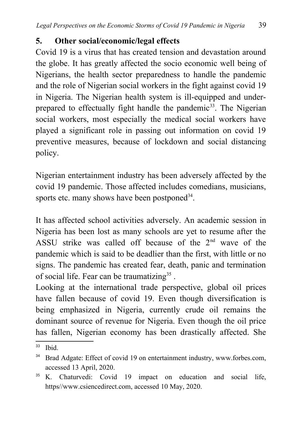### **5. Other social/economic/legal effects**

Covid 19 is a virus that has created tension and devastation around the globe. It has greatly affected the socio economic well being of Nigerians, the health sector preparedness to handle the pandemic and the role of Nigerian social workers in the fight against covid 19 in Nigeria. The Nigerian health system is ill-equipped and under-prepared to effectually fight handle the pandemic<sup>[33](#page-10-0)</sup>. The Nigerian social workers, most especially the medical social workers have played a significant role in passing out information on covid 19 preventive measures, because of lockdown and social distancing policy.

Nigerian entertainment industry has been adversely affected by the covid 19 pandemic. Those affected includes comedians, musicians, sports etc. many shows have been postponed<sup>[34](#page-10-1)</sup>.

It has affected school activities adversely. An academic session in Nigeria has been lost as many schools are yet to resume after the ASSU strike was called off because of the  $2<sup>nd</sup>$  wave of the pandemic which is said to be deadlier than the first, with little or no signs. The pandemic has created fear, death, panic and termination of social life. Fear can be traumatizing<sup>[35](#page-10-2)</sup>.

Looking at the international trade perspective, global oil prices have fallen because of covid 19. Even though diversification is being emphasized in Nigeria, currently crude oil remains the dominant source of revenue for Nigeria. Even though the oil price has fallen, Nigerian economy has been drastically affected. She

<span id="page-10-0"></span> $33$  Ibid.

<span id="page-10-1"></span><sup>34</sup> Brad Adgate: Effect of covid 19 on entertainment industry, www.forbes.com, accessed 13 April, 2020.

<span id="page-10-2"></span><sup>&</sup>lt;sup>35</sup> K. Chaturvedi: Covid 19 impact on education and social life, https//www.csiencedirect.com, accessed 10 May, 2020.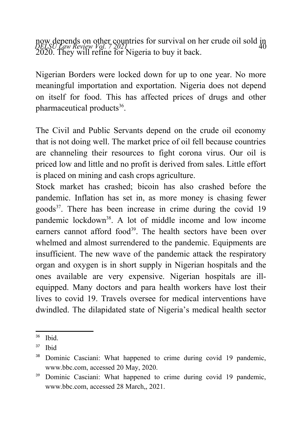now depends on other countries for survival on her crude oil sold in<br>*QELSU Law Review Vol.* 7 2021 2020. They will refine for Nigeria to buy it back.

Nigerian Borders were locked down for up to one year. No more meaningful importation and exportation. Nigeria does not depend on itself for food. This has affected prices of drugs and other pharmaceutical products<sup>[36](#page-11-0)</sup>.

The Civil and Public Servants depend on the crude oil economy that is not doing well. The market price of oil fell because countries are channeling their resources to fight corona virus. Our oil is priced low and little and no profit is derived from sales. Little effort is placed on mining and cash crops agriculture.

Stock market has crashed; bicoin has also crashed before the pandemic. Inflation has set in, as more money is chasing fewer goods<sup>[37](#page-11-1)</sup>. There has been increase in crime during the covid  $19$ pandemic lockdown<sup>[38](#page-11-2)</sup>. A lot of middle income and low income earners cannot afford food<sup>[39](#page-11-3)</sup>. The health sectors have been over whelmed and almost surrendered to the pandemic. Equipments are insufficient. The new wave of the pandemic attack the respiratory organ and oxygen is in short supply in Nigerian hospitals and the ones available are very expensive. Nigerian hospitals are illequipped. Many doctors and para health workers have lost their lives to covid 19. Travels oversee for medical interventions have dwindled. The dilapidated state of Nigeria's medical health sector

<span id="page-11-0"></span> $36$  Ibid.

<span id="page-11-1"></span><sup>37</sup> Ibid

<span id="page-11-2"></span>Dominic Casciani: What happened to crime during covid 19 pandemic, www.bbc.com, accessed 20 May, 2020.

<span id="page-11-3"></span><sup>&</sup>lt;sup>39</sup> Dominic Casciani: What happened to crime during covid 19 pandemic, www.bbc.com, accessed 28 March,, 2021.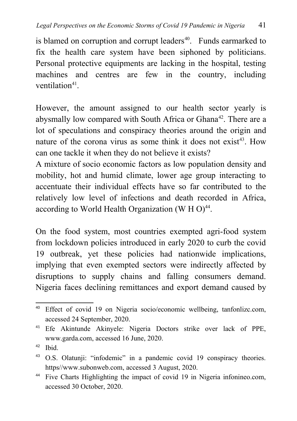is blamed on corruption and corrupt leaders $40$ . Funds earmarked to fix the health care system have been siphoned by politicians. Personal protective equipments are lacking in the hospital, testing machines and centres are few in the country, including ventilation<sup>[41](#page-12-1)</sup>.

However, the amount assigned to our health sector yearly is abysmally low compared with South Africa or Ghana<sup>[42](#page-12-2)</sup>. There are a lot of speculations and conspiracy theories around the origin and nature of the corona virus as some think it does not exist<sup>[43](#page-12-3)</sup>. How can one tackle it when they do not believe it exists?

A mixture of socio economic factors as low population density and mobility, hot and humid climate, lower age group interacting to accentuate their individual effects have so far contributed to the relatively low level of infections and death recorded in Africa, according to World Health Organization (W H O) $^{44}$  $^{44}$  $^{44}$ .

On the food system, most countries exempted agri-food system from lockdown policies introduced in early 2020 to curb the covid 19 outbreak, yet these policies had nationwide implications, implying that even exempted sectors were indirectly affected by disruptions to supply chains and falling consumers demand. Nigeria faces declining remittances and export demand caused by

<span id="page-12-0"></span><sup>40</sup> Effect of covid 19 on Nigeria socio/economic wellbeing, tanfonlizc.com, accessed 24 September, 2020.

<span id="page-12-1"></span><sup>41</sup> Efe Akintunde Akinyele: Nigeria Doctors strike over lack of PPE, www.garda.com, accessed 16 June, 2020.

<span id="page-12-2"></span> $42$  Ibid.

<span id="page-12-3"></span><sup>43</sup> O.S. Olatunji: "infodemic" in a pandemic covid 19 conspiracy theories. https//www.subonweb.com, accessed 3 August, 2020.

<span id="page-12-4"></span><sup>44</sup> Five Charts Highlighting the impact of covid 19 in Nigeria infonineo.com, accessed 30 October, 2020.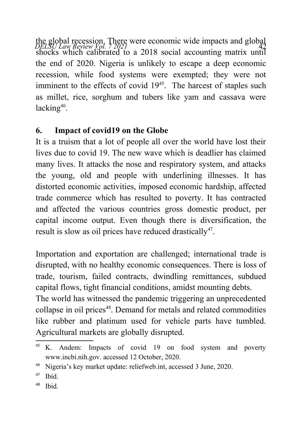the global recession. There were economic wide impacts and global<br>*DELSU Law Review Vol. 7 2021* 2019 shocks which calibrated to a 2018 social accounting matrix until the end of 2020. Nigeria is unlikely to escape a deep economic recession, while food systems were exempted; they were not imminent to the effects of covid  $19<sup>45</sup>$  $19<sup>45</sup>$  $19<sup>45</sup>$ . The harcest of staples such as millet, rice, sorghum and tubers like yam and cassava were lacking<sup>[46](#page-13-1)</sup>.

## **6. Impact of covid19 on the Globe**

It is a truism that a lot of people all over the world have lost their lives due to covid 19. The new wave which is deadlier has claimed many lives. It attacks the nose and respiratory system, and attacks the young, old and people with underlining illnesses. It has distorted economic activities, imposed economic hardship, affected trade commerce which has resulted to poverty. It has contracted and affected the various countries gross domestic product, per capital income output. Even though there is diversification, the result is slow as oil prices have reduced drastically<sup>[47](#page-13-2)</sup>.

Importation and exportation are challenged; international trade is disrupted, with no healthy economic consequences. There is loss of trade, tourism, failed contracts, dwindling remittances, subdued capital flows, tight financial conditions, amidst mounting debts. The world has witnessed the pandemic triggering an unprecedented collapse in oil prices<sup>[48](#page-13-3)</sup>. Demand for metals and related commodities like rubber and platinum used for vehicle parts have tumbled. Agricultural markets are globally disrupted.

<span id="page-13-0"></span><sup>&</sup>lt;sup>45</sup> K. Andem: Impacts of covid 19 on food system and poverty www.incbi.nih.gov. accessed 12 October, 2020.

<span id="page-13-1"></span><sup>46</sup> Nigeria's key market update: reliefweb.int, accessed 3 June, 2020.

<span id="page-13-2"></span> $47$  Ibid.

<span id="page-13-3"></span> $48$  Ibid.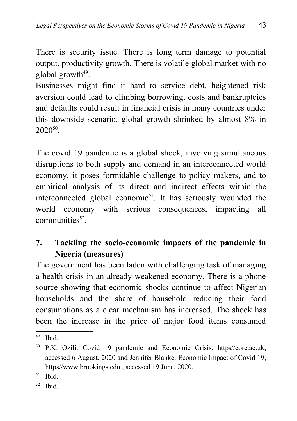There is security issue. There is long term damage to potential output, productivity growth. There is volatile global market with no global growth<sup>[49](#page-14-0)</sup>.

Businesses might find it hard to service debt, heightened risk aversion could lead to climbing borrowing, costs and bankruptcies and defaults could result in financial crisis in many countries under this downside scenario, global growth shrinked by almost 8% in  $2020^{50}$  $2020^{50}$  $2020^{50}$ .

The covid 19 pandemic is a global shock, involving simultaneous disruptions to both supply and demand in an interconnected world economy, it poses formidable challenge to policy makers, and to empirical analysis of its direct and indirect effects within the interconnected global economic<sup>[51](#page-14-2)</sup>. It has seriously wounded the world economy with serious consequences, impacting all  $commu nities<sup>52</sup>$  $commu nities<sup>52</sup>$  $commu nities<sup>52</sup>$ .

## **7. Tackling the socio-economic impacts of the pandemic in Nigeria (measures)**

The government has been laden with challenging task of managing a health crisis in an already weakened economy. There is a phone source showing that economic shocks continue to affect Nigerian households and the share of household reducing their food consumptions as a clear mechanism has increased. The shock has been the increase in the price of major food items consumed

<span id="page-14-0"></span><sup>49</sup> Ibid.

<span id="page-14-1"></span><sup>50</sup> P.K. Ozili: Covid 19 pandemic and Economic Crisis, https//core.ac.uk, accessed 6 August, 2020 and Jennifer Blanke: Economic Impact of Covid 19, https//www.brookings.edu., accessed 19 June, 2020.

<span id="page-14-2"></span> $51$  Ibid.

<span id="page-14-3"></span> $52$  Ibid.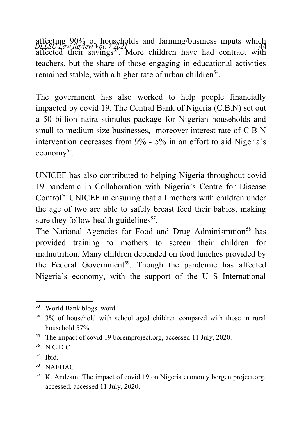affecting 90% of households and farming/business inputs which<br>*DELSU Law Review Vol. 7 2021* affected their savings<sup>[53](#page-15-0)</sup>. More children have had contract with teachers, but the share of those engaging in educational activities remained stable, with a higher rate of urban children<sup>[54](#page-15-1)</sup>.

The government has also worked to help people financially impacted by covid 19. The Central Bank of Nigeria (C.B.N) set out a 50 billion naira stimulus package for Nigerian households and small to medium size businesses, moreover interest rate of C B N intervention decreases from 9% - 5% in an effort to aid Nigeria's economy<sup>[55](#page-15-2)</sup>.

UNICEF has also contributed to helping Nigeria throughout covid 19 pandemic in Collaboration with Nigeria's Centre for Disease Control<sup>[56](#page-15-3)</sup> UNICEF in ensuring that all mothers with children under the age of two are able to safely breast feed their babies, making sure they follow health guidelines $57$ .

The National Agencies for Food and Drug Administration<sup>[58](#page-15-5)</sup> has provided training to mothers to screen their children for malnutrition. Many children depended on food lunches provided by the Federal Government<sup>[59](#page-15-6)</sup>. Though the pandemic has affected Nigeria's economy, with the support of the U S International

<span id="page-15-0"></span><sup>53</sup> World Bank blogs. word

<span id="page-15-1"></span><sup>&</sup>lt;sup>54</sup> 3% of household with school aged children compared with those in rural household 57%.

<span id="page-15-2"></span><sup>&</sup>lt;sup>55</sup> The impact of covid 19 boreinproject.org, accessed 11 July, 2020.

<span id="page-15-3"></span> $56$  N C D C.

<span id="page-15-4"></span><sup>57</sup> Ibid.

<span id="page-15-5"></span><sup>58</sup> NAFDAC

<span id="page-15-6"></span><sup>&</sup>lt;sup>59</sup> K. Andeam: The impact of covid 19 on Nigeria economy borgen project.org. accessed, accessed 11 July, 2020.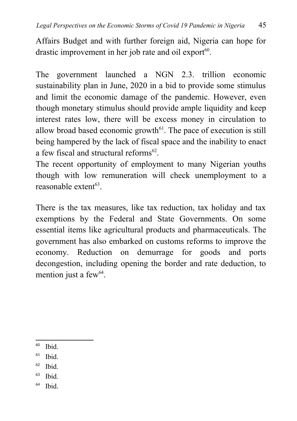Affairs Budget and with further foreign aid, Nigeria can hope for drastic improvement in her job rate and oil export $60$ .

The government launched a NGN 2.3. trillion economic sustainability plan in June, 2020 in a bid to provide some stimulus and limit the economic damage of the pandemic. However, even though monetary stimulus should provide ample liquidity and keep interest rates low, there will be excess money in circulation to allow broad based economic growth $61$ . The pace of execution is still being hampered by the lack of fiscal space and the inability to enact a few fiscal and structural reforms<sup>[62](#page-16-2)</sup>.

The recent opportunity of employment to many Nigerian youths though with low remuneration will check unemployment to a reasonable extent<sup>[63](#page-16-3)</sup>.

There is the tax measures, like tax reduction, tax holiday and tax exemptions by the Federal and State Governments. On some essential items like agricultural products and pharmaceuticals. The government has also embarked on customs reforms to improve the economy. Reduction on demurrage for goods and ports decongestion, including opening the border and rate deduction, to mention just a few<sup>[64](#page-16-4)</sup>.

- <span id="page-16-1"></span> $61$  Ibid.
- <span id="page-16-2"></span><sup>62</sup> Ibid.
- <span id="page-16-3"></span> $63$  Ibid.
- <span id="page-16-4"></span><sup>64</sup> Ibid.

<span id="page-16-0"></span> $60$  Ihid.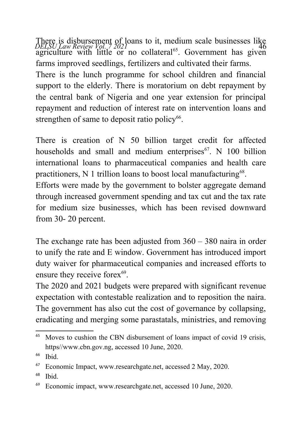There is disbursement of loans to it, medium scale businesses like<br>*DELSU Law Review Vol.* 7 2021 agriculture with little or no collateral<sup>[65](#page-17-0)</sup>. Government has given farms improved seedlings, fertilizers and cultivated their farms.

There is the lunch programme for school children and financial support to the elderly. There is moratorium on debt repayment by the central bank of Nigeria and one year extension for principal repayment and reduction of interest rate on intervention loans and strengthen of same to deposit ratio policy<sup>[66](#page-17-1)</sup>.

There is creation of N 50 billion target credit for affected households and small and medium enterprises $^{67}$  $^{67}$  $^{67}$ . N 100 billion international loans to pharmaceutical companies and health care practitioners, N 1 trillion loans to boost local manufacturing<sup>[68](#page-17-3)</sup>.

Efforts were made by the government to bolster aggregate demand through increased government spending and tax cut and the tax rate for medium size businesses, which has been revised downward from 30- 20 percent.

The exchange rate has been adjusted from 360 – 380 naira in order to unify the rate and E window. Government has introduced import duty waiver for pharmaceutical companies and increased efforts to ensure they receive forex<sup>[69](#page-17-4)</sup>.

The 2020 and 2021 budgets were prepared with significant revenue expectation with contestable realization and to reposition the naira. The government has also cut the cost of governance by collapsing, eradicating and merging some parastatals, ministries, and removing

<span id="page-17-0"></span><sup>&</sup>lt;sup>65</sup> Moves to cushion the CBN disbursement of loans impact of covid 19 crisis, https//www.cbn.gov.ng, accessed 10 June, 2020.

<span id="page-17-1"></span> $66$  Ibid.

<span id="page-17-2"></span><sup>67</sup> Economic Impact, www.researchgate.net, accessed 2 May, 2020.

<span id="page-17-3"></span><sup>68</sup> Ibid.

<span id="page-17-4"></span><sup>69</sup> Economic impact, www.researchgate.net, accessed 10 June, 2020.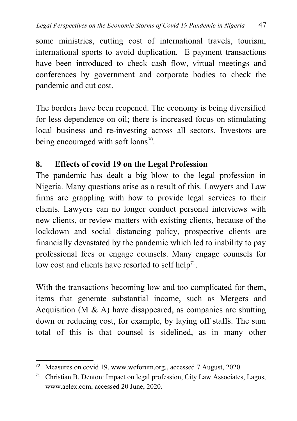some ministries, cutting cost of international travels, tourism, international sports to avoid duplication. E payment transactions have been introduced to check cash flow, virtual meetings and conferences by government and corporate bodies to check the pandemic and cut cost.

The borders have been reopened. The economy is being diversified for less dependence on oil; there is increased focus on stimulating local business and re-investing across all sectors. Investors are being encouraged with soft loans<sup>[70](#page-18-0)</sup>.

### **8. Effects of covid 19 on the Legal Profession**

The pandemic has dealt a big blow to the legal profession in Nigeria. Many questions arise as a result of this. Lawyers and Law firms are grappling with how to provide legal services to their clients. Lawyers can no longer conduct personal interviews with new clients, or review matters with existing clients, because of the lockdown and social distancing policy, prospective clients are financially devastated by the pandemic which led to inability to pay professional fees or engage counsels. Many engage counsels for low cost and clients have resorted to self help<sup>[71](#page-18-1)</sup>.

With the transactions becoming low and too complicated for them, items that generate substantial income, such as Mergers and Acquisition (M  $\&$  A) have disappeared, as companies are shutting down or reducing cost, for example, by laying off staffs. The sum total of this is that counsel is sidelined, as in many other

<span id="page-18-0"></span><sup>70</sup> Measures on covid 19. www.weforum.org., accessed 7 August, 2020.

<span id="page-18-1"></span><sup>&</sup>lt;sup>71</sup> Christian B. Denton: Impact on legal profession, City Law Associates, Lagos, www.aelex.com, accessed 20 June, 2020.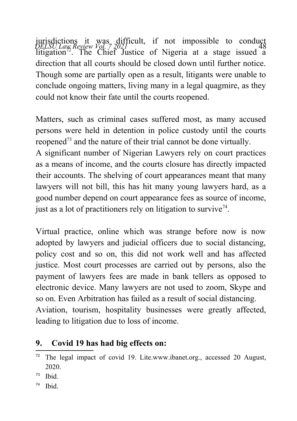*DELSU Law Review Vol. 7 2021* 48 jurisdictions it was difficult, if not impossible to conduct litigation<sup>[72](#page-19-0)</sup>. The Chief Justice of Nigeria at a stage issued a direction that all courts should be closed down until further notice. Though some are partially open as a result, litigants were unable to conclude ongoing matters, living many in a legal quagmire, as they could not know their fate until the courts reopened.

Matters, such as criminal cases suffered most, as many accused persons were held in detention in police custody until the courts reopened<sup>[73](#page-19-1)</sup> and the nature of their trial cannot be done virtually.

A significant number of Nigerian Lawyers rely on court practices as a means of income, and the courts closure has directly impacted their accounts. The shelving of court appearances meant that many lawyers will not bill, this has hit many young lawyers hard, as a good number depend on court appearance fees as source of income, just as a lot of practitioners rely on litigation to survive<sup> $74$ </sup>.

Virtual practice, online which was strange before now is now adopted by lawyers and judicial officers due to social distancing, policy cost and so on, this did not work well and has affected justice. Most court processes are carried out by persons, also the payment of lawyers fees are made in bank tellers as opposed to electronic device. Many lawyers are not used to zoom, Skype and so on. Even Arbitration has failed as a result of social distancing. Aviation, tourism, hospitality businesses were greatly affected,

leading to litigation due to loss of income.

# **9. Covid 19 has had big effects on:**

- <span id="page-19-1"></span> $73$  Ibid.
- <span id="page-19-2"></span><sup>74</sup> Ibid.

<span id="page-19-0"></span><sup>72</sup> The legal impact of covid 19. Lite.www.ibanet.org., accessed 20 August, 2020.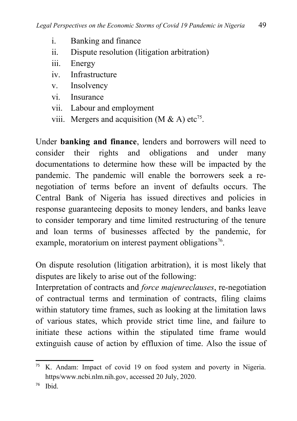- i. Banking and finance
- ii. Dispute resolution (litigation arbitration)
- iii. Energy
- iv. Infrastructure
- v. Insolvency
- vi. Insurance
- vii. Labour and employment
- viii. Mergers and acquisition (M & A) etc<sup>[75](#page-20-0)</sup>.

Under **banking and finance**, lenders and borrowers will need to consider their rights and obligations and under many documentations to determine how these will be impacted by the pandemic. The pandemic will enable the borrowers seek a renegotiation of terms before an invent of defaults occurs. The Central Bank of Nigeria has issued directives and policies in response guaranteeing deposits to money lenders, and banks leave to consider temporary and time limited restructuring of the tenure and loan terms of businesses affected by the pandemic, for example, moratorium on interest payment obligations<sup>[76](#page-20-1)</sup>.

On dispute resolution (litigation arbitration), it is most likely that disputes are likely to arise out of the following:

Interpretation of contracts and *force majeureclauses*, re-negotiation of contractual terms and termination of contracts, filing claims within statutory time frames, such as looking at the limitation laws of various states, which provide strict time line, and failure to initiate these actions within the stipulated time frame would extinguish cause of action by effluxion of time. Also the issue of

<span id="page-20-0"></span><sup>&</sup>lt;sup>75</sup> K. Andam: Impact of covid 19 on food system and poverty in Nigeria. https/www.ncbi.nlm.nih.gov, accessed 20 July, 2020.

<span id="page-20-1"></span> $76$  Ibid.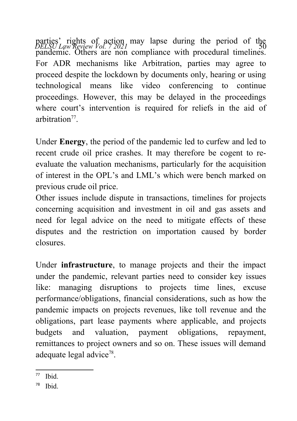parties' rights of action may lapse during the period of the *DELSU Law Review Vol.* 72021 pandemic. Others are non compliance with procedural timelines. For ADR mechanisms like Arbitration, parties may agree to proceed despite the lockdown by documents only, hearing or using technological means like video conferencing to continue proceedings. However, this may be delayed in the proceedings where court's intervention is required for reliefs in the aid of arbitration<sup>[77](#page-21-0)</sup>.

Under **Energy**, the period of the pandemic led to curfew and led to recent crude oil price crashes. It may therefore be cogent to reevaluate the valuation mechanisms, particularly for the acquisition of interest in the OPL's and LML's which were bench marked on previous crude oil price.

Other issues include dispute in transactions, timelines for projects concerning acquisition and investment in oil and gas assets and need for legal advice on the need to mitigate effects of these disputes and the restriction on importation caused by border closures.

Under **infrastructure**, to manage projects and their the impact under the pandemic, relevant parties need to consider key issues like: managing disruptions to projects time lines, excuse performance/obligations, financial considerations, such as how the pandemic impacts on projects revenues, like toll revenue and the obligations, part lease payments where applicable, and projects budgets and valuation, payment obligations, repayment, remittances to project owners and so on. These issues will demand adequate legal advice<sup>[78](#page-21-1)</sup>.

<span id="page-21-0"></span><sup>77</sup> Ibid.

<span id="page-21-1"></span><sup>78</sup> Ibid.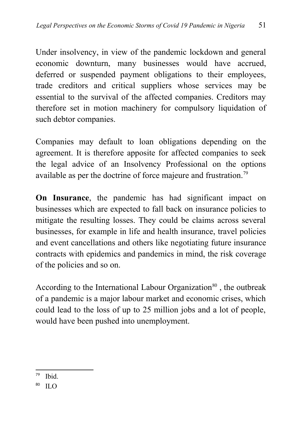Under insolvency, in view of the pandemic lockdown and general economic downturn, many businesses would have accrued, deferred or suspended payment obligations to their employees, trade creditors and critical suppliers whose services may be essential to the survival of the affected companies. Creditors may therefore set in motion machinery for compulsory liquidation of such debtor companies.

Companies may default to loan obligations depending on the agreement. It is therefore apposite for affected companies to seek the legal advice of an Insolvency Professional on the options available as per the doctrine of force majeure and frustration.<sup>[79](#page-22-0)</sup>

**On Insurance**, the pandemic has had significant impact on businesses which are expected to fall back on insurance policies to mitigate the resulting losses. They could be claims across several businesses, for example in life and health insurance, travel policies and event cancellations and others like negotiating future insurance contracts with epidemics and pandemics in mind, the risk coverage of the policies and so on.

According to the International Labour Organization<sup>[80](#page-22-1)</sup>, the outbreak of a pandemic is a major labour market and economic crises, which could lead to the loss of up to 25 million jobs and a lot of people, would have been pushed into unemployment.

<span id="page-22-0"></span> $79$  Ibid.

<span id="page-22-1"></span> $^{80}$  ILO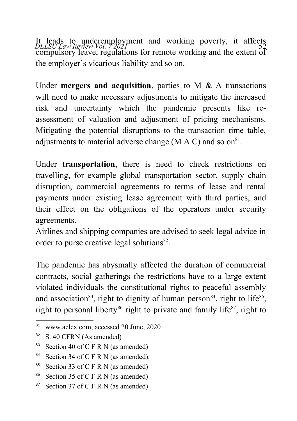It leads to underemployment and working poverty, it affects<br>*DELSU Law Review Vol. 7 2021* compulsory leave, regulations for remote working and the extent of the employer's vicarious liability and so on.

Under **mergers and acquisition**, parties to M & A transactions will need to make necessary adjustments to mitigate the increased risk and uncertainty which the pandemic presents like reassessment of valuation and adjustment of pricing mechanisms. Mitigating the potential disruptions to the transaction time table, adjustments to material adverse change (M  $\land$  C) and so on<sup>[81](#page-23-0)</sup>.

Under **transportation**, there is need to check restrictions on travelling, for example global transportation sector, supply chain disruption, commercial agreements to terms of lease and rental payments under existing lease agreement with third parties, and their effect on the obligations of the operators under security agreements.

Airlines and shipping companies are advised to seek legal advice in order to purse creative legal solutions<sup>[82](#page-23-1)</sup>.

The pandemic has abysmally affected the duration of commercial contracts, social gatherings the restrictions have to a large extent violated individuals the constitutional rights to peaceful assembly and association<sup>[83](#page-23-2)</sup>, right to dignity of human person<sup>[84](#page-23-3)</sup>, right to life<sup>[85](#page-23-4)</sup>, right to personal liberty<sup>[86](#page-23-5)</sup> right to private and family life<sup>[87](#page-23-6)</sup>, right to

<span id="page-23-0"></span><sup>81</sup> www.aelex.com, accessed 20 June, 2020

<span id="page-23-1"></span><sup>&</sup>lt;sup>82</sup> S. 40 CFRN (As amended)

<span id="page-23-2"></span><sup>&</sup>lt;sup>83</sup> Section 40 of C F R N (as amended)

<span id="page-23-3"></span><sup>&</sup>lt;sup>84</sup> Section 34 of C F R N (as amended).

<span id="page-23-4"></span><sup>&</sup>lt;sup>85</sup> Section 33 of C F R N (as amended)

<span id="page-23-5"></span><sup>&</sup>lt;sup>86</sup> Section 35 of C F R N (as amended)

<span id="page-23-6"></span><sup>&</sup>lt;sup>87</sup> Section 37 of C F R N (as amended)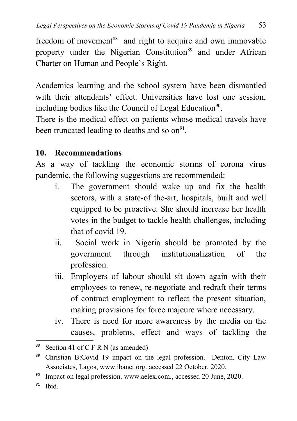freedom of movement<sup>[88](#page-24-0)</sup> and right to acquire and own immovable property under the Nigerian Constitution<sup>[89](#page-24-1)</sup> and under African Charter on Human and People's Right.

Academics learning and the school system have been dismantled with their attendants' effect. Universities have lost one session, including bodies like the Council of Legal Education<sup>[90](#page-24-2)</sup>.

There is the medical effect on patients whose medical travels have been truncated leading to deaths and so  $\text{on}^{\text{91}}$  $\text{on}^{\text{91}}$  $\text{on}^{\text{91}}$ .

### **10. Recommendations**

As a way of tackling the economic storms of corona virus pandemic, the following suggestions are recommended:

- i. The government should wake up and fix the health sectors, with a state-of the-art, hospitals, built and well equipped to be proactive. She should increase her health votes in the budget to tackle health challenges, including that of covid 19.
- ii. Social work in Nigeria should be promoted by the government through institutionalization of the profession.
- iii. Employers of labour should sit down again with their employees to renew, re-negotiate and redraft their terms of contract employment to reflect the present situation, making provisions for force majeure where necessary.
- iv. There is need for more awareness by the media on the causes, problems, effect and ways of tackling the

- <span id="page-24-2"></span><sup>90</sup> Impact on legal profession. www.aelex.com., accessed 20 June, 2020.
- <span id="page-24-3"></span> $91$  Ibid.

<span id="page-24-0"></span>Section 41 of  $C$  F R N (as amended)

<span id="page-24-1"></span><sup>&</sup>lt;sup>89</sup> Christian B:Covid 19 impact on the legal profession. Denton. City Law Associates, Lagos, www.ibanet.org. accessed 22 October, 2020.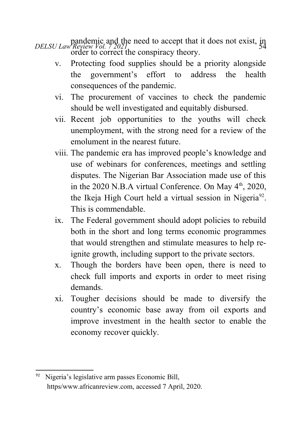pandemic and the need to accept that it does not exist, in<br>*DELSU Law Review Vol.* 72021 order to correct the conspiracy theory.

- v. Protecting food supplies should be a priority alongside the government's effort to address the health consequences of the pandemic.
- vi. The procurement of vaccines to check the pandemic should be well investigated and equitably disbursed.
- vii. Recent job opportunities to the youths will check unemployment, with the strong need for a review of the emolument in the nearest future.
- viii. The pandemic era has improved people's knowledge and use of webinars for conferences, meetings and settling disputes. The Nigerian Bar Association made use of this in the 2020 N.B.A virtual Conference. On May  $4<sup>th</sup>$ , 2020, the Ikeja High Court held a virtual session in Nigeria<sup>[92](#page-25-0)</sup>. This is commendable.
- ix. The Federal government should adopt policies to rebuild both in the short and long terms economic programmes that would strengthen and stimulate measures to help reignite growth, including support to the private sectors.
- x. Though the borders have been open, there is need to check full imports and exports in order to meet rising demands.
- xi. Tougher decisions should be made to diversify the country's economic base away from oil exports and improve investment in the health sector to enable the economy recover quickly.

<span id="page-25-0"></span><sup>92</sup> Nigeria's legislative arm passes Economic Bill, https/www.africanreview.com, accessed 7 April, 2020.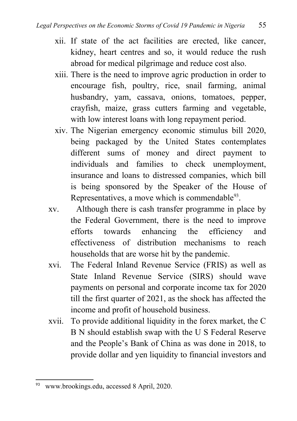- xii. If state of the act facilities are erected, like cancer, kidney, heart centres and so, it would reduce the rush abroad for medical pilgrimage and reduce cost also.
- xiii. There is the need to improve agric production in order to encourage fish, poultry, rice, snail farming, animal husbandry, yam, cassava, onions, tomatoes, pepper, crayfish, maize, grass cutters farming and vegetable, with low interest loans with long repayment period.
- xiv. The Nigerian emergency economic stimulus bill 2020, being packaged by the United States contemplates different sums of money and direct payment to individuals and families to check unemployment, insurance and loans to distressed companies, which bill is being sponsored by the Speaker of the House of Representatives, a move which is commendable $93$ .
- xv. Although there is cash transfer programme in place by the Federal Government, there is the need to improve efforts towards enhancing the efficiency and effectiveness of distribution mechanisms to reach households that are worse hit by the pandemic.
- xvi. The Federal Inland Revenue Service (FRIS) as well as State Inland Revenue Service (SIRS) should wave payments on personal and corporate income tax for 2020 till the first quarter of 2021, as the shock has affected the income and profit of household business.
- xvii. To provide additional liquidity in the forex market, the C B N should establish swap with the U S Federal Reserve and the People's Bank of China as was done in 2018, to provide dollar and yen liquidity to financial investors and

<span id="page-26-0"></span><sup>93</sup> www.brookings.edu, accessed 8 April, 2020.